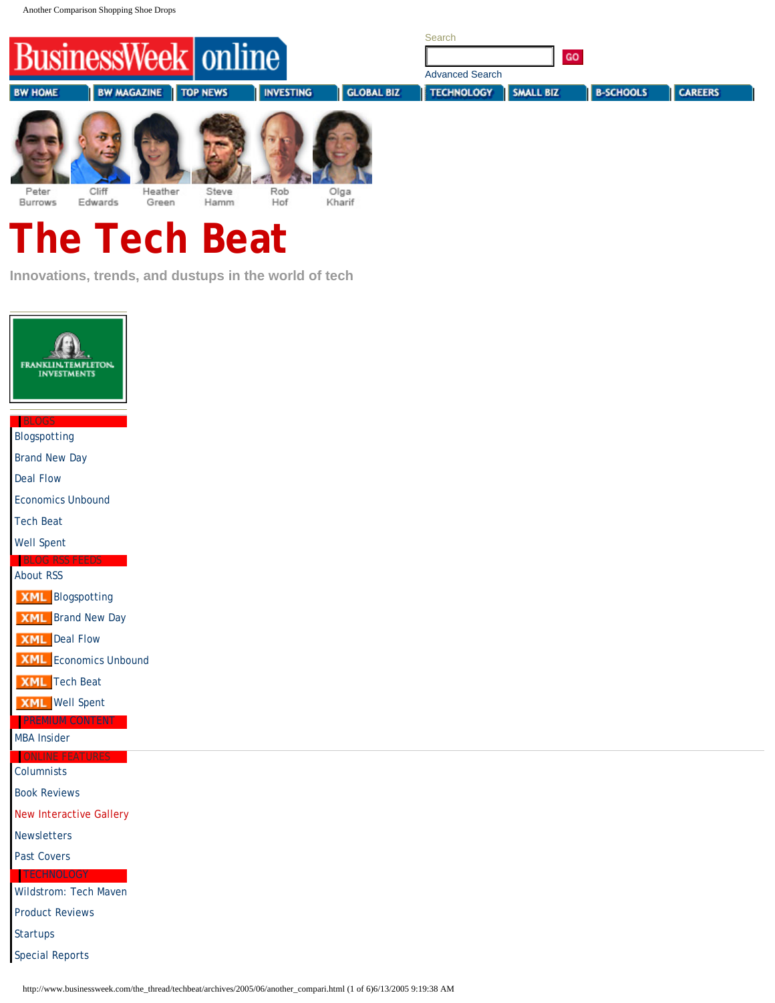<span id="page-0-0"></span>

Cliff Heather Steve Rob Kharif **Burrows** Edwards Green Hamm Hof

# **The Tech Beat**

**Innovations, trends, and dustups in the world of tech**



Past Covers

TECHNOLOGY Wildstrom: Tech Maven

Product Reviews

**Startups** 

Special Reports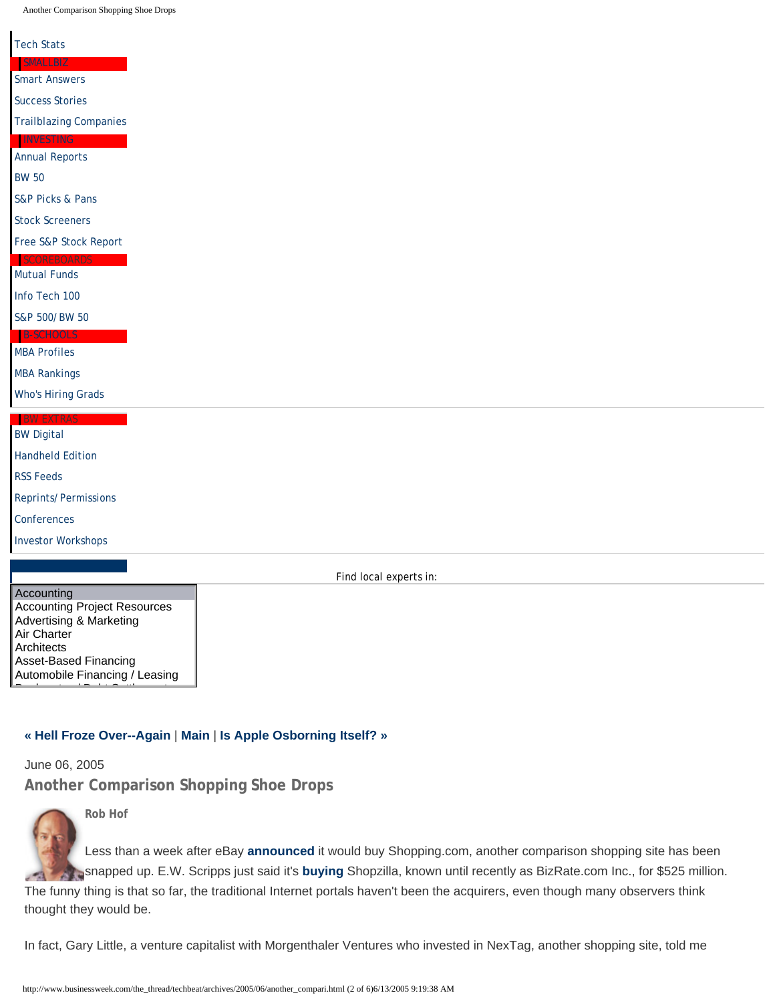#### Tech Stats

#### Smart Answers

Success Stories

Trailblazing Companies

Annual Reports

## BW 50

S&P Picks & Pans

#### Stock Screeners

Free S&P Stock Report

## Mutual Funds

Info Tech 100

#### S&P 500/BW 50

# MBA Profiles

MBA Rankings

Who's Hiring Grads

# BW Digital Handheld Edition

RSS Feeds

Reprints/Permissions

**Conferences** 

Investor Workshops

Find local experts in:

Accounting Accounting Project Resources Advertising & Marketing Air Charter **Architects** Asset-Based Financing Automobile Financing / Leasing

Bankruptcy / Debt Settlement

# **« Hell Froze Over--Again** | **Main** | **Is Apple Osborning Itself? »**

June 06, 2005 **Another Comparison Shopping Shoe Drops**



**Rob Hof**

Less than a week after eBay **announced** it would buy Shopping.com, another comparison shopping site has been snapped up. E.W. Scripps just said it's **buying** Shopzilla, known until recently as BizRate.com Inc., for \$525 million.

The funny thing is that so far, the traditional Internet portals haven't been the acquirers, even though many observers think thought they would be.

In fact, Gary Little, a venture capitalist with Morgenthaler Ventures who invested in NexTag, another shopping site, told me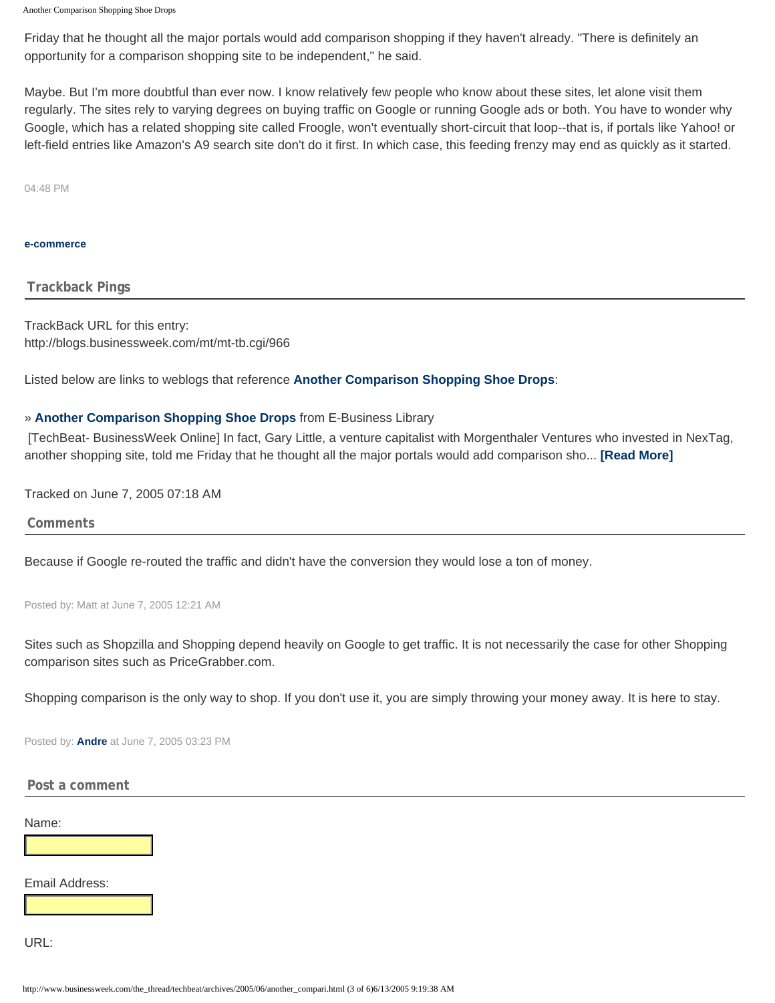Friday that he thought all the major portals would add comparison shopping if they haven't already. "There is definitely an opportunity for a comparison shopping site to be independent," he said.

Maybe. But I'm more doubtful than ever now. I know relatively few people who know about these sites, let alone visit them regularly. The sites rely to varying degrees on buying traffic on Google or running Google ads or both. You have to wonder why Google, which has a related shopping site called Froogle, won't eventually short-circuit that loop--that is, if portals like Yahoo! or left-field entries like Amazon's A9 search site don't do it first. In which case, this feeding frenzy may end as quickly as it started.

04:48 PM

#### <span id="page-2-1"></span>**e-commerce**

**Trackback Pings**

TrackBack URL for this entry: http://blogs.businessweek.com/mt/mt-tb.cgi/966

Listed below are links to weblogs that reference **[Another Comparison Shopping Shoe Drops](#page-0-0)**:

# » **Another Comparison Shopping Shoe Drops** from E-Business Library

 [TechBeat- BusinessWeek Online] In fact, Gary Little, a venture capitalist with Morgenthaler Ventures who invested in NexTag, another shopping site, told me Friday that he thought all the major portals would add comparison sho... **[Read More]**

<span id="page-2-0"></span>Tracked on June 7, 2005 07:18 AM

**Comments**

Because if Google re-routed the traffic and didn't have the conversion they would lose a ton of money.

Posted by: Matt at June 7, 2005 12:21 AM

Sites such as Shopzilla and Shopping depend heavily on Google to get traffic. It is not necessarily the case for other Shopping comparison sites such as PriceGrabber.com.

Shopping comparison is the only way to shop. If you don't use it, you are simply throwing your money away. It is here to stay.

Posted by: **Andre** at June 7, 2005 03:23 PM

# **Post a comment**

Name:

Email Address:

URL: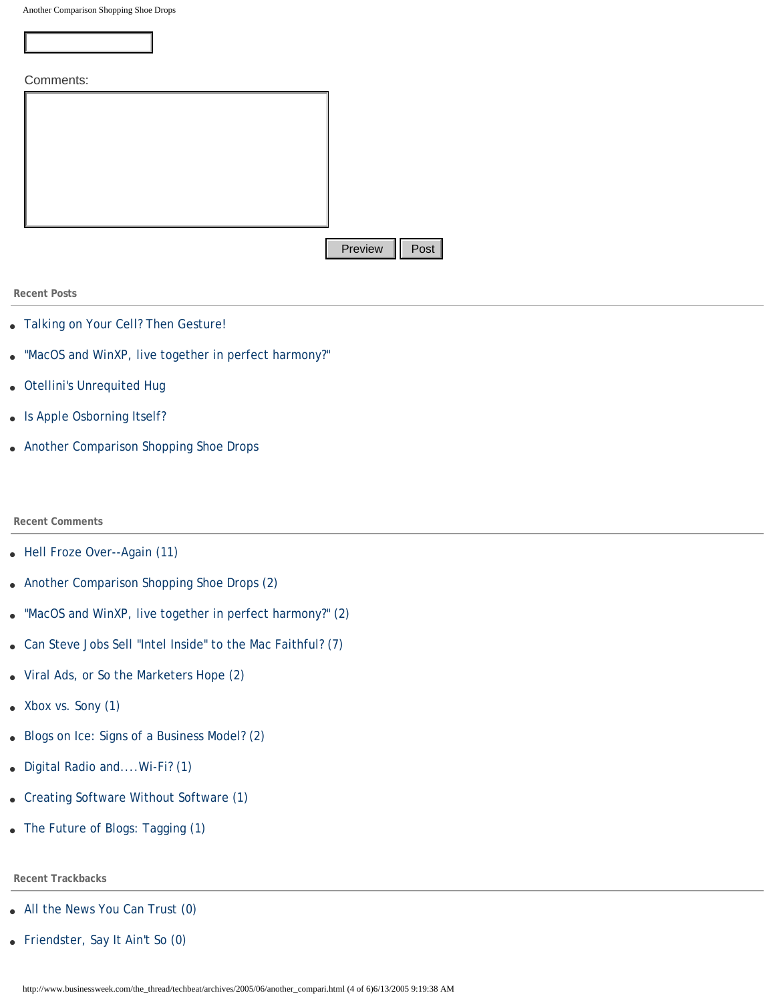mmente

| COMMENTS. |         |                  |
|-----------|---------|------------------|
|           |         |                  |
|           |         |                  |
|           |         |                  |
|           |         |                  |
|           |         |                  |
|           |         |                  |
|           |         |                  |
|           |         |                  |
|           |         |                  |
|           |         |                  |
|           | Preview | $\parallel$ Post |

**Recent Posts**

- Talking on Your Cell? Then Gesture!
- "MacOS and WinXP, live together in perfect harmony?"
- Otellini's Unrequited Hug
- Is Apple Osborning Itself?
- [Another Comparison Shopping Shoe Drops](#page-0-0)

## **Recent Comments**

- Hell Froze Over--Again (11)
- [Another Comparison Shopping Shoe Drops \(2\)](#page-2-0)
- "MacOS and WinXP, live together in perfect harmony?" (2) **Provider | Post | Provider | Post | Provider | Post | Post | Post | Post | Post | Post | Post | Post | Post | Post | Post | Post | Post | Post | Post | Post | Post | Post | Post | Post | Post | Post | Post | Post | Post |**
- Can Steve Jobs Sell "Intel Inside" to the Mac Faithful? (7)
- Viral Ads, or So the Marketers Hope (2)
- Xbox vs. Sony (1)
- Blogs on Ice: Signs of a Business Model? (2)
- Digital Radio and....Wi-Fi? (1)
- Creating Software Without Software (1)
- The Future of Blogs: Tagging (1)

# **Recent Trackbacks**

- All the News You Can Trust (0)
- Friendster, Say It Ain't So (0)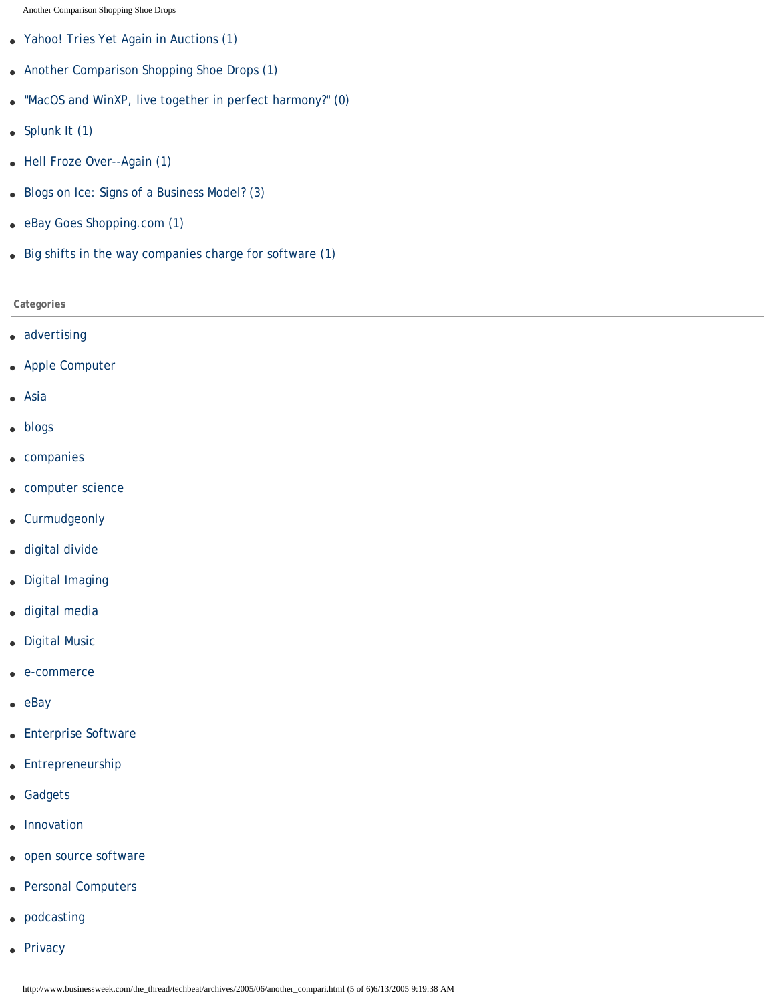- Yahoo! Tries Yet Again in Auctions (1)
- [Another Comparison Shopping Shoe Drops \(1\)](#page-2-1)
- "MacOS and WinXP, live together in perfect harmony?" (0)
- Splunk It (1)
- Hell Froze Over--Again (1)
- Blogs on Ice: Signs of a Business Model? (3)
- eBay Goes Shopping.com (1)
- Big shifts in the way companies charge for software (1)

# **Categories**

- advertising
- Apple Computer
- Asia
- blogs
- companies
- computer science
- Curmudgeonly
- digital divide
- Digital Imaging
- digital media
- Digital Music
- e-commerce
- eBay
- Enterprise Software
- Entrepreneurship
- Gadgets
- Innovation
- open source software
- Personal Computers
- podcasting
- Privacy